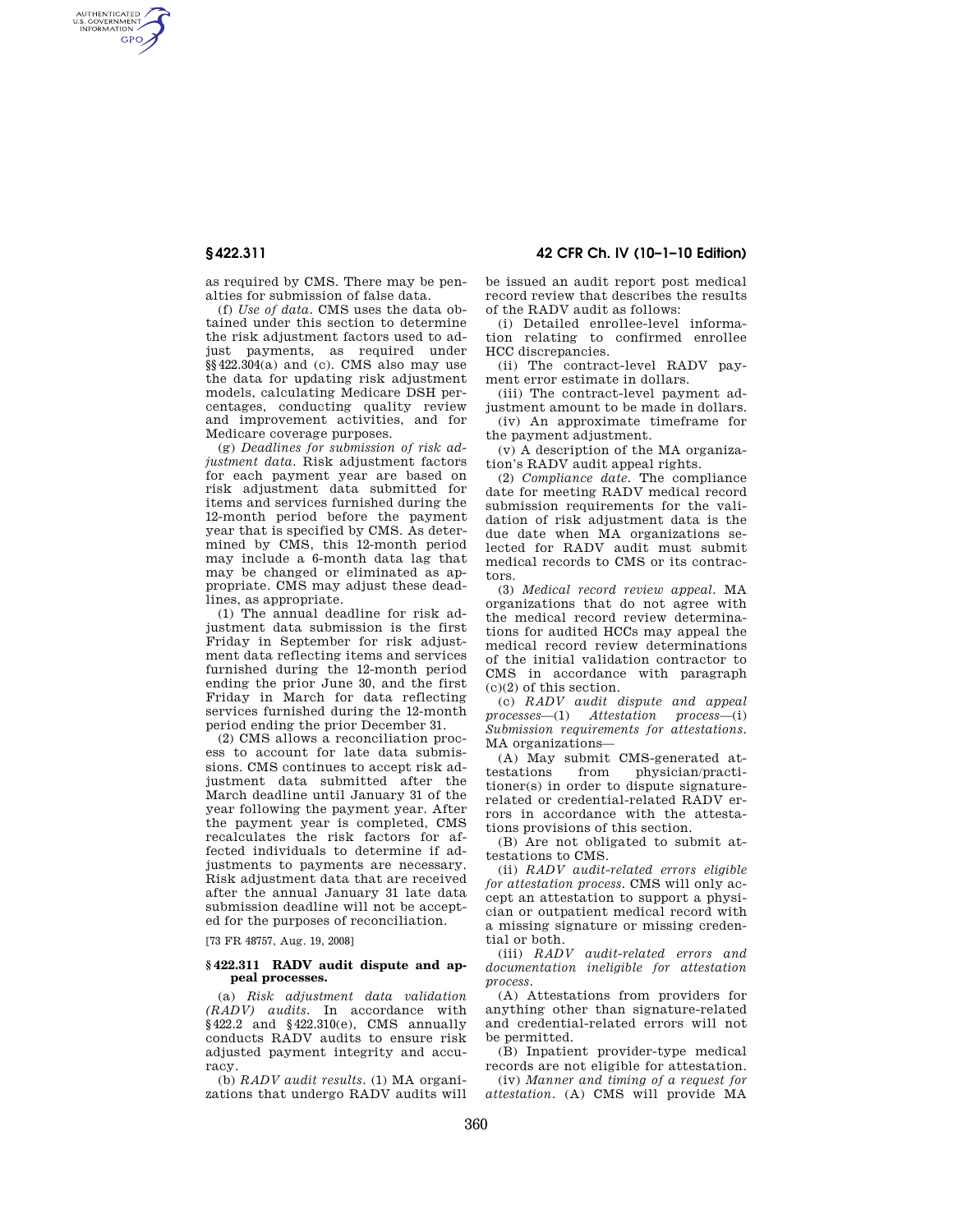AUTHENTICATED<br>U.S. GOVERNMENT<br>INFORMATION **GPO** 

**§ 422.311 42 CFR Ch. IV (10–1–10 Edition)** 

as required by CMS. There may be penalties for submission of false data.

(f) *Use of data.* CMS uses the data obtained under this section to determine the risk adjustment factors used to adjust payments, as required under  $\S$ §422.304(a) and (c). CMS also may use the data for updating risk adjustment models, calculating Medicare DSH percentages, conducting quality review and improvement activities, and for Medicare coverage purposes.

(g) *Deadlines for submission of risk adjustment data.* Risk adjustment factors for each payment year are based on risk adjustment data submitted for items and services furnished during the 12-month period before the payment year that is specified by CMS. As determined by CMS, this 12-month period may include a 6-month data lag that may be changed or eliminated as appropriate. CMS may adjust these deadlines, as appropriate.

(1) The annual deadline for risk adjustment data submission is the first Friday in September for risk adjustment data reflecting items and services furnished during the 12-month period ending the prior June 30, and the first Friday in March for data reflecting services furnished during the 12-month period ending the prior December 31.

(2) CMS allows a reconciliation process to account for late data submissions. CMS continues to accept risk adjustment data submitted after the March deadline until January 31 of the year following the payment year. After the payment year is completed, CMS recalculates the risk factors for affected individuals to determine if adjustments to payments are necessary. Risk adjustment data that are received after the annual January 31 late data submission deadline will not be accepted for the purposes of reconciliation.

[73 FR 48757, Aug. 19, 2008]

### **§ 422.311 RADV audit dispute and appeal processes.**

(a) *Risk adjustment data validation (RADV) audits.* In accordance with §422.2 and §422.310(e), CMS annually conducts RADV audits to ensure risk adjusted payment integrity and accuracy.

(b) *RADV audit results.* (1) MA organizations that undergo RADV audits will be issued an audit report post medical record review that describes the results of the RADV audit as follows:

(i) Detailed enrollee-level information relating to confirmed enrollee HCC discrepancies.

(ii) The contract-level RADV payment error estimate in dollars.

(iii) The contract-level payment adjustment amount to be made in dollars. (iv) An approximate timeframe for

the payment adjustment. (v) A description of the MA organiza-

tion's RADV audit appeal rights.

(2) *Compliance date.* The compliance date for meeting RADV medical record submission requirements for the validation of risk adjustment data is the due date when MA organizations selected for RADV audit must submit medical records to CMS or its contractors.

(3) *Medical record review appeal.* MA organizations that do not agree with the medical record review determinations for audited HCCs may appeal the medical record review determinations of the initial validation contractor to CMS in accordance with paragraph (c)(2) of this section.

(c) *RADV audit dispute and appeal processes*—(1) *Attestation process*—(i) *Submission requirements for attestations.*  MA organizations—

(A) May submit CMS-generated at-<br>testations from physician/practiphysician/practitioner(s) in order to dispute signaturerelated or credential-related RADV errors in accordance with the attestations provisions of this section.

(B) Are not obligated to submit attestations to CMS.

(ii) *RADV audit-related errors eligible for attestation process.* CMS will only accept an attestation to support a physician or outpatient medical record with a missing signature or missing credential or both.

(iii) *RADV audit-related errors and documentation ineligible for attestation process.* 

(A) Attestations from providers for anything other than signature-related and credential-related errors will not be permitted.

(B) Inpatient provider-type medical records are not eligible for attestation.

(iv) *Manner and timing of a request for attestation.* (A) CMS will provide MA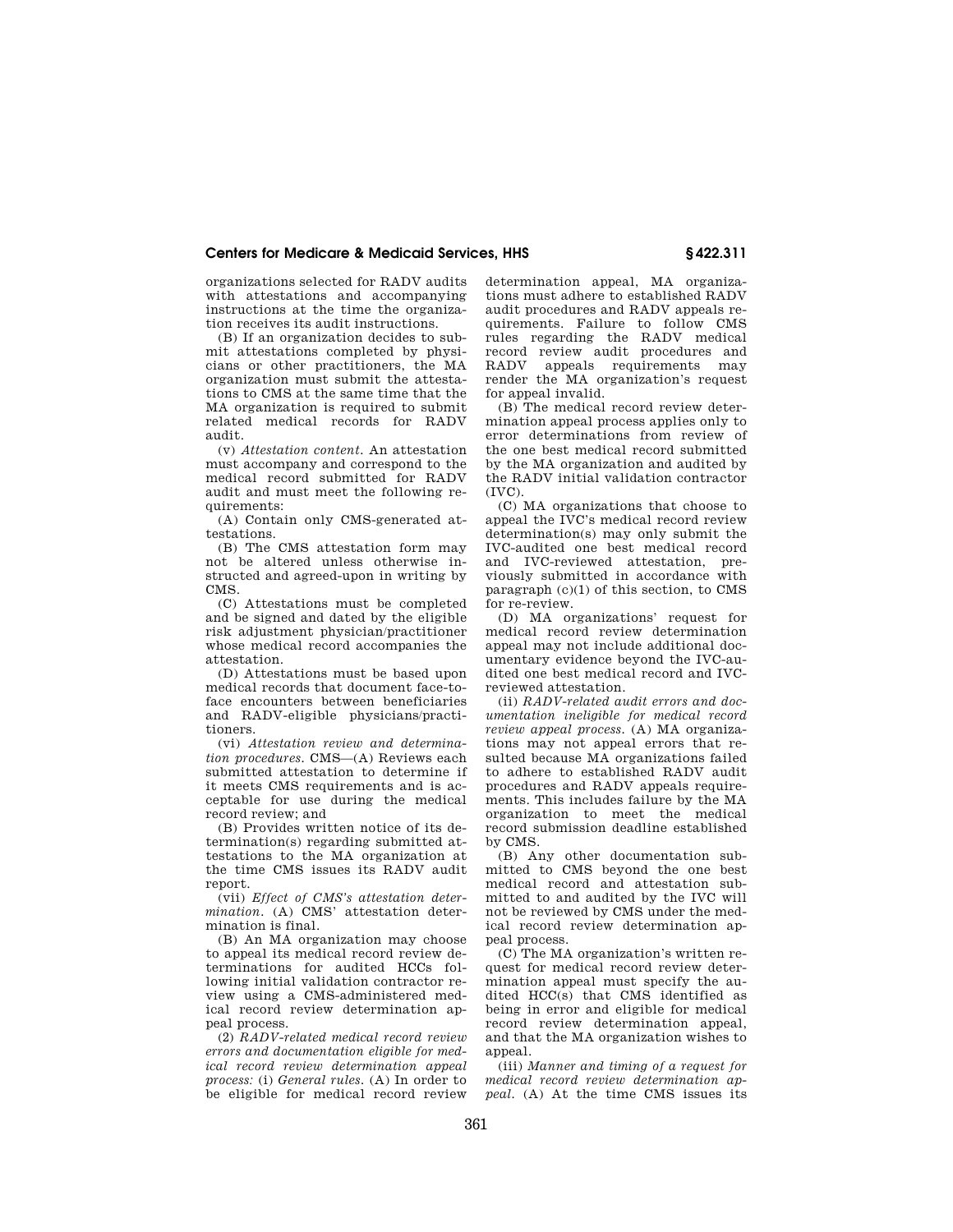# **Centers for Medicare & Medicaid Services, HHS § 422.311**

organizations selected for RADV audits with attestations and accompanying instructions at the time the organization receives its audit instructions.

(B) If an organization decides to submit attestations completed by physicians or other practitioners, the MA organization must submit the attestations to CMS at the same time that the MA organization is required to submit related medical records for RADV audit.

(v) *Attestation content.* An attestation must accompany and correspond to the medical record submitted for RADV audit and must meet the following requirements:

(A) Contain only CMS-generated attestations.

(B) The CMS attestation form may not be altered unless otherwise instructed and agreed-upon in writing by CMS.

(C) Attestations must be completed and be signed and dated by the eligible risk adjustment physician/practitioner whose medical record accompanies the attestation.

(D) Attestations must be based upon medical records that document face-toface encounters between beneficiaries and RADV-eligible physicians/practitioners.

(vi) *Attestation review and determination procedures.* CMS—(A) Reviews each submitted attestation to determine if it meets CMS requirements and is acceptable for use during the medical record review; and

(B) Provides written notice of its determination(s) regarding submitted attestations to the MA organization at the time CMS issues its RADV audit report.

(vii) *Effect of CMS's attestation determination.* (A) CMS' attestation determination is final.

(B) An MA organization may choose to appeal its medical record review determinations for audited HCCs following initial validation contractor review using a CMS-administered medical record review determination appeal process.

(2) *RADV-related medical record review errors and documentation eligible for medical record review determination appeal process:* (i) *General rules.* (A) In order to .<br>be eligible for medical record review determination appeal, MA organizations must adhere to established RADV audit procedures and RADV appeals requirements. Failure to follow CMS rules regarding the RADV medical record review audit procedures and<br>RADV appeals requirements may appeals requirements may render the MA organization's request for appeal invalid.

(B) The medical record review determination appeal process applies only to error determinations from review of the one best medical record submitted by the MA organization and audited by the RADV initial validation contractor (IVC).

(C) MA organizations that choose to appeal the IVC's medical record review determination(s) may only submit the IVC-audited one best medical record and IVC-reviewed attestation, previously submitted in accordance with paragraph (c)(1) of this section, to CMS for re-review.

(D) MA organizations' request for medical record review determination appeal may not include additional documentary evidence beyond the IVC-audited one best medical record and IVCreviewed attestation.

(ii) *RADV-related audit errors and documentation ineligible for medical record review appeal process.* (A) MA organizations may not appeal errors that resulted because MA organizations failed to adhere to established RADV audit procedures and RADV appeals requirements. This includes failure by the MA organization to meet the medical record submission deadline established by CMS.

(B) Any other documentation submitted to CMS beyond the one best medical record and attestation submitted to and audited by the IVC will not be reviewed by CMS under the medical record review determination appeal process.

(C) The MA organization's written request for medical record review determination appeal must specify the audited HCC(s) that CMS identified as being in error and eligible for medical record review determination appeal, and that the MA organization wishes to appeal.

(iii) *Manner and timing of a request for medical record review determination appeal.* (A) At the time CMS issues its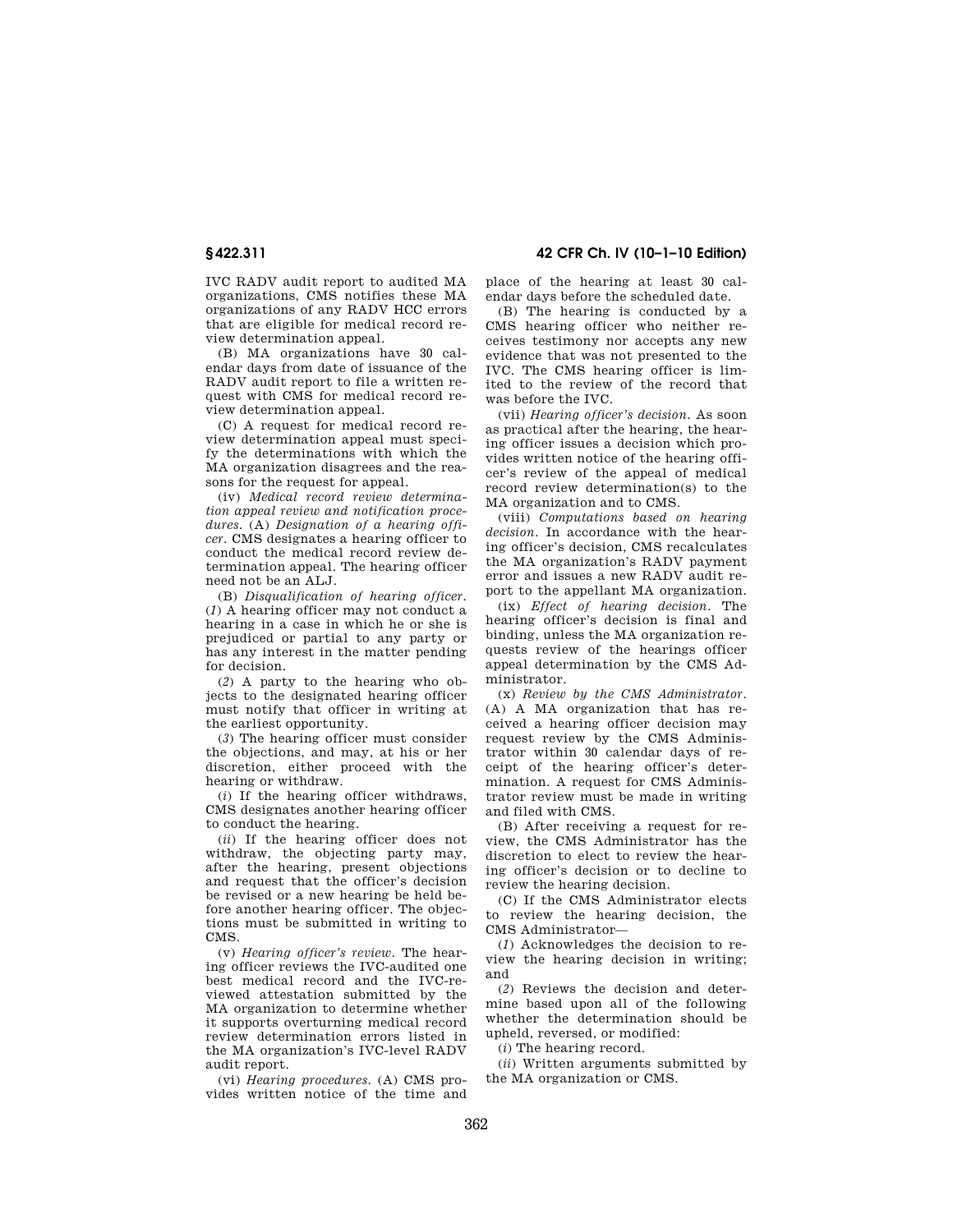IVC RADV audit report to audited MA organizations, CMS notifies these MA organizations of any RADV HCC errors that are eligible for medical record review determination appeal.

(B) MA organizations have 30 calendar days from date of issuance of the RADV audit report to file a written request with CMS for medical record review determination appeal.

(C) A request for medical record review determination appeal must specify the determinations with which the MA organization disagrees and the reasons for the request for appeal.

(iv) *Medical record review determination appeal review and notification procedures.* (A) *Designation of a hearing officer.* CMS designates a hearing officer to conduct the medical record review determination appeal. The hearing officer need not be an ALJ.

(B) *Disqualification of hearing officer.*  (*1*) A hearing officer may not conduct a hearing in a case in which he or she is prejudiced or partial to any party or has any interest in the matter pending for decision.

(*2*) A party to the hearing who objects to the designated hearing officer must notify that officer in writing at the earliest opportunity.

(*3*) The hearing officer must consider the objections, and may, at his or her discretion, either proceed with the hearing or withdraw.

(*i*) If the hearing officer withdraws, CMS designates another hearing officer to conduct the hearing.

(*ii*) If the hearing officer does not withdraw, the objecting party may, after the hearing, present objections and request that the officer's decision be revised or a new hearing be held before another hearing officer. The objections must be submitted in writing to CMS.

(v) *Hearing officer's review.* The hearing officer reviews the IVC-audited one best medical record and the IVC-reviewed attestation submitted by the MA organization to determine whether it supports overturning medical record review determination errors listed in the MA organization's IVC-level RADV audit report.

(vi) *Hearing procedures.* (A) CMS provides written notice of the time and

**§ 422.311 42 CFR Ch. IV (10–1–10 Edition)** 

place of the hearing at least 30 calendar days before the scheduled date.

(B) The hearing is conducted by a CMS hearing officer who neither receives testimony nor accepts any new evidence that was not presented to the IVC. The CMS hearing officer is limited to the review of the record that was before the IVC.

(vii) *Hearing officer's decision.* As soon as practical after the hearing, the hearing officer issues a decision which provides written notice of the hearing officer's review of the appeal of medical record review determination(s) to the MA organization and to CMS.

(viii) *Computations based on hearing decision.* In accordance with the hearing officer's decision, CMS recalculates the MA organization's RADV payment error and issues a new RADV audit report to the appellant MA organization.

(ix) *Effect of hearing decision.* The hearing officer's decision is final and binding, unless the MA organization requests review of the hearings officer appeal determination by the CMS Administrator.

(x) *Review by the CMS Administrator.*  (A) A MA organization that has received a hearing officer decision may request review by the CMS Administrator within 30 calendar days of receipt of the hearing officer's determination. A request for CMS Administrator review must be made in writing and filed with CMS.

(B) After receiving a request for review, the CMS Administrator has the discretion to elect to review the hearing officer's decision or to decline to review the hearing decision.

(C) If the CMS Administrator elects to review the hearing decision, the CMS Administrator—

(*1*) Acknowledges the decision to review the hearing decision in writing; and

(*2*) Reviews the decision and determine based upon all of the following whether the determination should be upheld, reversed, or modified:

(*i*) The hearing record.

(*ii*) Written arguments submitted by the MA organization or CMS.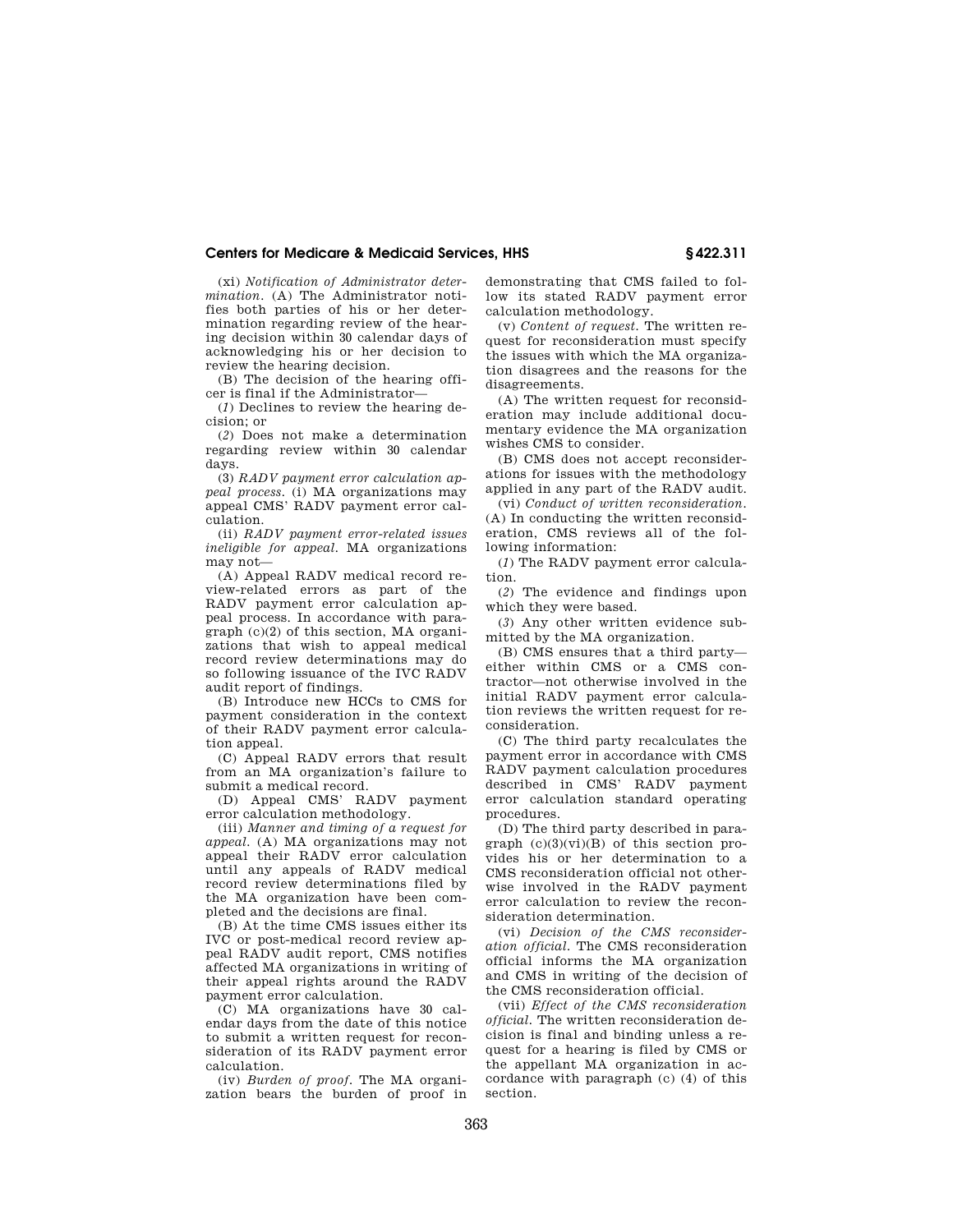## **Centers for Medicare & Medicaid Services, HHS § 422.311**

(xi) *Notification of Administrator determination.* (A) The Administrator notifies both parties of his or her determination regarding review of the hearing decision within 30 calendar days of acknowledging his or her decision to review the hearing decision.

(B) The decision of the hearing officer is final if the Administrator—

(*1*) Declines to review the hearing decision; or

(*2*) Does not make a determination regarding review within 30 calendar days.

(3) *RADV payment error calculation appeal process.* (i) MA organizations may appeal CMS' RADV payment error calculation.

(ii) *RADV payment error-related issues ineligible for appeal.* MA organizations may not—

(A) Appeal RADV medical record review-related errors as part of the RADV payment error calculation appeal process. In accordance with paragraph (c)(2) of this section, MA organizations that wish to appeal medical record review determinations may do so following issuance of the IVC RADV audit report of findings.

(B) Introduce new HCCs to CMS for payment consideration in the context of their RADV payment error calculation appeal.

(C) Appeal RADV errors that result from an MA organization's failure to submit a medical record.

(D) Appeal CMS' RADV payment error calculation methodology.

(iii) *Manner and timing of a request for appeal.* (A) MA organizations may not appeal their RADV error calculation until any appeals of RADV medical record review determinations filed by the MA organization have been completed and the decisions are final.

(B) At the time CMS issues either its IVC or post-medical record review appeal RADV audit report, CMS notifies affected MA organizations in writing of their appeal rights around the RADV payment error calculation.

(C) MA organizations have 30 calendar days from the date of this notice to submit a written request for reconsideration of its RADV payment error calculation.

(iv) *Burden of proof.* The MA organization bears the burden of proof in

demonstrating that CMS failed to follow its stated RADV payment error calculation methodology.

(v) *Content of request.* The written request for reconsideration must specify the issues with which the MA organization disagrees and the reasons for the disagreements.

(A) The written request for reconsideration may include additional documentary evidence the MA organization wishes CMS to consider.

(B) CMS does not accept reconsiderations for issues with the methodology applied in any part of the RADV audit.

(vi) *Conduct of written reconsideration.*  (A) In conducting the written reconsideration, CMS reviews all of the following information:

(*1*) The RADV payment error calculation.

(*2*) The evidence and findings upon which they were based.

(*3*) Any other written evidence submitted by the MA organization.

(B) CMS ensures that a third party either within CMS or a CMS contractor—not otherwise involved in the initial RADV payment error calculation reviews the written request for reconsideration.

(C) The third party recalculates the payment error in accordance with CMS RADV payment calculation procedures described in CMS' RADV payment error calculation standard operating procedures.

(D) The third party described in paragraph  $(c)(3)(vi)(B)$  of this section provides his or her determination to a CMS reconsideration official not otherwise involved in the RADV payment error calculation to review the reconsideration determination.

(vi) *Decision of the CMS reconsideration official.* The CMS reconsideration official informs the MA organization and CMS in writing of the decision of the CMS reconsideration official.

(vii) *Effect of the CMS reconsideration official.* The written reconsideration decision is final and binding unless a request for a hearing is filed by CMS or the appellant MA organization in accordance with paragraph (c) (4) of this section.